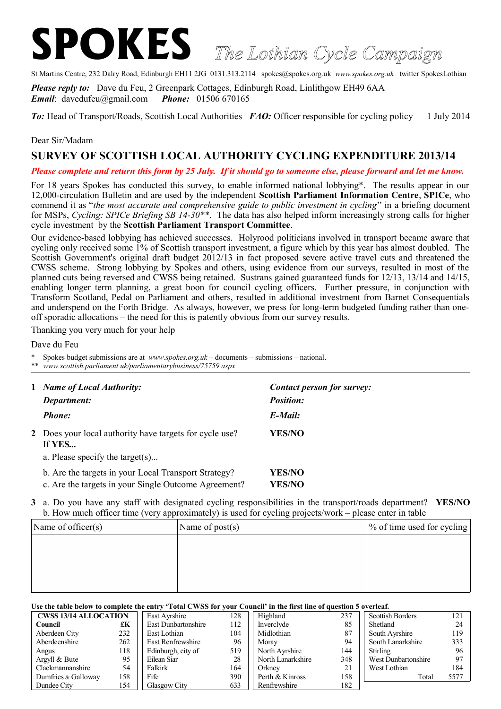## **SPOKES** *The Lothian Cycle Campaign*

St Martins Centre, 232 Dalry Road, Edinburgh EH11 2JG 0131.313.2114 spokes@spokes.org.uk *www.spokes.org.uk* twitter SpokesLothian

*Please reply to:* Dave du Feu, 2 Greenpark Cottages, Edinburgh Road, Linlithgow EH49 6AA *Email*: davedufeu@gmail.com *Phone:* 01506 670165

*To:* Head of Transport/Roads, Scottish Local Authorities *FAO:* Officer responsible for cycling policy 1 July 2014

## Dear Sir/Madam

## **SURVEY OF SCOTTISH LOCAL AUTHORITY CYCLING EXPENDITURE 2013/14**

*Please complete and return this form by 25 July. If it should go to someone else, please forward and let me know.*

For 18 years Spokes has conducted this survey, to enable informed national lobbying\*. The results appear in our 12,000-circulation Bulletin and are used by the independent **Scottish Parliament Information Centre**, **SPICe**, who commend it as "*the most accurate and comprehensive guide to public investment in cycling*" in a briefing document for MSPs, *Cycling: SPICe Briefing SB 14-30\*\**. The data has also helped inform increasingly strong calls for higher cycle investment by the **Scottish Parliament Transport Committee**.

Our evidence-based lobbying has achieved successes. Holyrood politicians involved in transport became aware that cycling only received some 1% of Scottish transport investment, a figure which by this year has almost doubled. The Scottish Government's original draft budget 2012/13 in fact proposed severe active travel cuts and threatened the CWSS scheme. Strong lobbying by Spokes and others, using evidence from our surveys, resulted in most of the planned cuts being reversed and CWSS being retained. Sustrans gained guaranteed funds for 12/13, 13/14 and 14/15, enabling longer term planning, a great boon for council cycling officers. Further pressure, in conjunction with Transform Scotland, Pedal on Parliament and others, resulted in additional investment from Barnet Consequentials and underspend on the Forth Bridge. As always, however, we press for long-term budgeted funding rather than oneoff sporadic allocations – the need for this is patently obvious from our survey results.

Thanking you very much for your help

Dave du Feu

\* Spokes budget submissions are at *www.spokes.org.uk* – documents – submissions – national.

\*\* *www.scottish.parliament.uk/parliamentarybusiness/75759.aspx*

| $\mathbf{1}$ | <b>Name of Local Authority:</b><br>Department:                                                               | Contact person for survey:<br><b>Position:</b> |  |  |
|--------------|--------------------------------------------------------------------------------------------------------------|------------------------------------------------|--|--|
|              | <b>Phone:</b>                                                                                                | $E$ -Mail:                                     |  |  |
|              | 2 Does your local authority have targets for cycle use?<br>If <b>YES</b>                                     | YES/NO                                         |  |  |
|              | a. Please specify the target $(s)$                                                                           |                                                |  |  |
|              | b. Are the targets in your Local Transport Strategy?<br>c. Are the targets in your Single Outcome Agreement? | YES/NO<br>YES/NO                               |  |  |

**3** a. Do you have any staff with designated cycling responsibilities in the transport/roads department? **YES/NO** b. How much officer time (very approximately) is used for cycling projects/work – please enter in table

| Name of officer $(s)$ | Name of $post(s)$ | $\frac{1}{2}$ of time used for cycling |
|-----------------------|-------------------|----------------------------------------|
|                       |                   |                                        |
|                       |                   |                                        |
|                       |                   |                                        |
|                       |                   |                                        |

## **Use the table below to complete the entry 'Total CWSS for your Council' in the first line of question 5 overleaf.**

| <b>CWSS 13/14 ALLOCATION</b> |     | East Avrshire       | 128 | Highland          | 237 | <b>Scottish Borders</b> | 121  |
|------------------------------|-----|---------------------|-----|-------------------|-----|-------------------------|------|
| Council                      | £К  | East Dunbartonshire | 112 | Inverclyde        | 85  | Shetland                | 24   |
| Aberdeen City                | 232 | East Lothian        | 104 | Midlothian        | 87  | South Ayrshire          | 119  |
| Aberdeenshire                | 262 | East Renfrewshire   | 96  | Moray             | 94  | South Lanarkshire       | 333  |
| Angus                        | 118 | Edinburgh, city of  | 519 | North Ayrshire    | 144 | <b>Stirling</b>         | 96   |
| Argyll & Bute                | 95  | Eilean Siar         | 28  | North Lanarkshire | 348 | West Dunbartonshire     | 97   |
| Clackmannanshire             | 54  | Falkirk             | 164 | Orkney            | 21  | West Lothian            | 184  |
| Dumfries & Galloway          | 158 | Fife                | 390 | Perth & Kinross   | 158 | Total                   | 5577 |
| Dundee City<br>154           |     | <b>Glasgow City</b> | 633 | Renfrewshire      | 182 |                         |      |